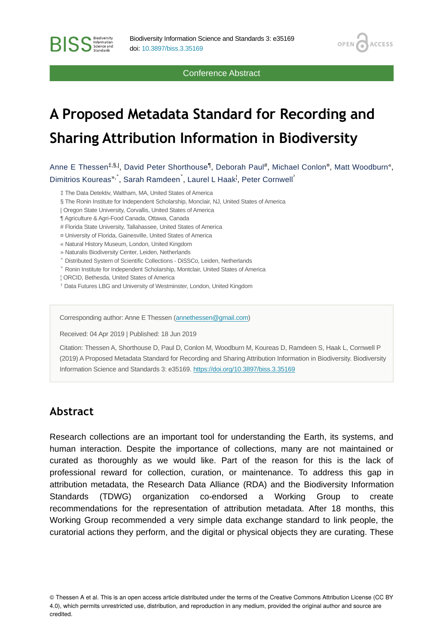Conference Abstract

OPEN<sub>6</sub>

**ACCESS** 

## **A Proposed Metadata Standard for Recording and Sharing Attribution Information in Biodiversity**

Anne E Thessen<sup>‡,§,|</sup>, David Peter Shorthouse<sup>¶</sup>, Deborah Paul<sup>#</sup>, Michael Conlon<sup>a</sup>, Matt Woodburn", Dimitrios Koureas<sup>»,</sup>, Sarah Ramdeen<sup>'</sup>, Laurel L Haak<sup>!</sup>, Peter Cornwell<sup>?</sup>

‡ The Data Detektiv, Waltham, MA, United States of America

- § The Ronin Institute for Independent Scholarship, Monclair, NJ, United States of America
- | Oregon State University, Corvallis, United States of America
- ¶ Agriculture & Agri-Food Canada, Ottawa, Canada

**BISS** Steince and

- # Florida State University, Tallahassee, United States of America
- ¤ University of Florida, Gainesville, United States of America
- « Natural History Museum, London, United Kingdom
- » Naturalis Biodiversity Center, Leiden, Netherlands
- ˄ Distributed System of Scientific Collections DiSSCo, Leiden, Netherlands
- ˅ Ronin Institute for Independent Scholarship, Montclair, United States of America
- ¦ ORCID, Bethesda, United States of America
- ˀ Data Futures LBG and University of Westminster, London, United Kingdom

Corresponding author: Anne E Thessen ([annethessen@gmail.com\)](mailto:annethessen@gmail.com)

Received: 04 Apr 2019 | Published: 18 Jun 2019

Citation: Thessen A, Shorthouse D, Paul D, Conlon M, Woodburn M, Koureas D, Ramdeen S, Haak L, Cornwell P (2019) A Proposed Metadata Standard for Recording and Sharing Attribution Information in Biodiversity. Biodiversity Information Science and Standards 3: e35169.<https://doi.org/10.3897/biss.3.35169>

## **Abstract**

Research collections are an important tool for understanding the Earth, its systems, and human interaction. Despite the importance of collections, many are not maintained or curated as thoroughly as we would like. Part of the reason for this is the lack of professional reward for collection, curation, or maintenance. To address this gap in attribution metadata, the Research Data Alliance (RDA) and the Biodiversity Information Standards (TDWG) organization co-endorsed a Working Group to create recommendations for the representation of attribution metadata. After 18 months, this Working Group recommended a very simple data exchange standard to link people, the curatorial actions they perform, and the digital or physical objects they are curating. These

© Thessen A et al. This is an open access article distributed under the terms of the Creative Commons Attribution License (CC BY 4.0), which permits unrestricted use, distribution, and reproduction in any medium, provided the original author and source are credited.